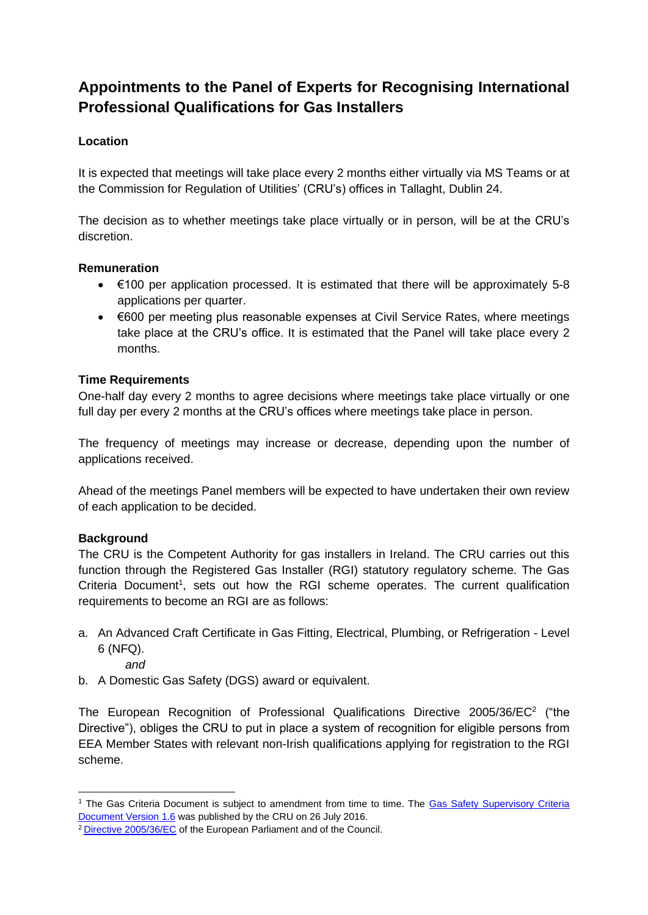# **Appointments to the Panel of Experts for Recognising International Professional Qualifications for Gas Installers**

# **Location**

It is expected that meetings will take place every 2 months either virtually via MS Teams or at the Commission for Regulation of Utilities' (CRU's) offices in Tallaght, Dublin 24.

The decision as to whether meetings take place virtually or in person, will be at the CRU's discretion.

#### **Remuneration**

- $\bullet$   $\in$  100 per application processed. It is estimated that there will be approximately 5-8 applications per quarter.
- €600 per meeting plus reasonable expenses at Civil Service Rates, where meetings take place at the CRU's office. It is estimated that the Panel will take place every 2 months.

#### **Time Requirements**

One-half day every 2 months to agree decisions where meetings take place virtually or one full day per every 2 months at the CRU's offices where meetings take place in person.

The frequency of meetings may increase or decrease, depending upon the number of applications received.

Ahead of the meetings Panel members will be expected to have undertaken their own review of each application to be decided.

## **Background**

The CRU is the Competent Authority for gas installers in Ireland. The CRU carries out this function through the Registered Gas Installer (RGI) statutory regulatory scheme. The Gas Criteria Document<sup>1</sup>, sets out how the RGI scheme operates. The current qualification requirements to become an RGI are as follows:

- a. An Advanced Craft Certificate in Gas Fitting, Electrical, Plumbing, or Refrigeration Level 6 (NFQ).
	- *and*
- b. A Domestic Gas Safety (DGS) award or equivalent.

The European Recognition of Professional Qualifications Directive 2005/36/EC<sup>2</sup> ("the Directive"), obliges the CRU to put in place a system of recognition for eligible persons from EEA Member States with relevant non-Irish qualifications applying for registration to the RGI scheme.

<sup>&</sup>lt;sup>1</sup> The Gas Criteria Document is subject to amendment from time to time. The Gas Safety Supervisory Criteria [Document Version 1.6](https://www.cru.ie/wp-content/uploads/2016/07/CER16222-Criteria-Document-Version-1.6.pdf) was published by the CRU on 26 July 2016.

<sup>2</sup> [Directive 2005/36/EC](http://eur-lex.europa.eu/legal-content/EN/TXT/?uri=CELEX:02005L0036-20140117) of the European Parliament and of the Council.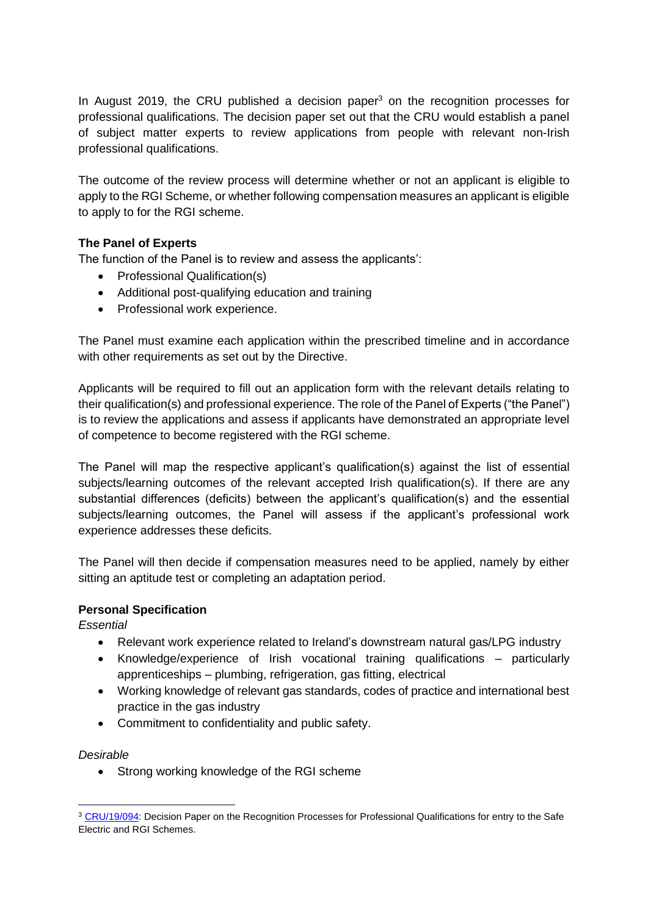In August 2019, the CRU published a decision paper $3$  on the recognition processes for professional qualifications. The decision paper set out that the CRU would establish a panel of subject matter experts to review applications from people with relevant non-Irish professional qualifications.

The outcome of the review process will determine whether or not an applicant is eligible to apply to the RGI Scheme, or whether following compensation measures an applicant is eligible to apply to for the RGI scheme.

## **The Panel of Experts**

The function of the Panel is to review and assess the applicants':

- Professional Qualification(s)
- Additional post-qualifying education and training
- Professional work experience.

The Panel must examine each application within the prescribed timeline and in accordance with other requirements as set out by the Directive.

Applicants will be required to fill out an application form with the relevant details relating to their qualification(s) and professional experience. The role of the Panel of Experts ("the Panel") is to review the applications and assess if applicants have demonstrated an appropriate level of competence to become registered with the RGI scheme.

The Panel will map the respective applicant's qualification(s) against the list of essential subjects/learning outcomes of the relevant accepted Irish qualification(s). If there are any substantial differences (deficits) between the applicant's qualification(s) and the essential subjects/learning outcomes, the Panel will assess if the applicant's professional work experience addresses these deficits.

The Panel will then decide if compensation measures need to be applied, namely by either sitting an aptitude test or completing an adaptation period.

## **Personal Specification**

*Essential*

- Relevant work experience related to Ireland's downstream natural gas/LPG industry
- Knowledge/experience of Irish vocational training qualifications particularly apprenticeships – plumbing, refrigeration, gas fitting, electrical
- Working knowledge of relevant gas standards, codes of practice and international best practice in the gas industry
- Commitment to confidentiality and public safety.

#### *Desirable*

• Strong working knowledge of the RGI scheme

<sup>&</sup>lt;sup>3</sup> [CRU/19/094:](https://www.cru.ie/wp-content/uploads/2019/08/CRU19103-Decision-Paper-on-the-Proposed-Recognition-Processes-Professional-Qualifications-Gas-and-Electrical.pdf) Decision Paper on the Recognition Processes for Professional Qualifications for entry to the Safe Electric and RGI Schemes.